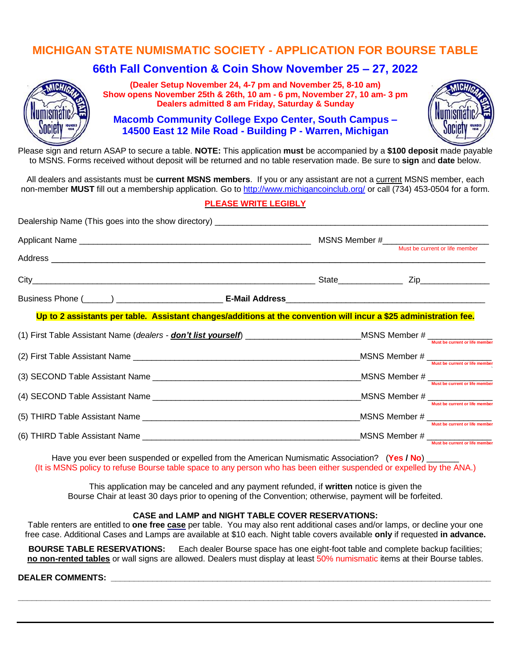## **MICHIGAN STATE NUMISMATIC SOCIETY - APPLICATION FOR BOURSE TABLE**

# **66th Fall Convention & Coin Show November 25 – 27, 2022**



**(Dealer Setup November 24, 4-7 pm and November 25, 8-10 am) Show opens November 25th & 26th, 10 am - 6 pm, November 27, 10 am- 3 pm Dealers admitted 8 am Friday, Saturday & Sunday**

**Macomb Community College Expo Center, South Campus – 14500 East 12 Mile Road - Building P - Warren, Michigan**



Please sign and return ASAP to secure a table. **NOTE:** This application **must** be accompanied by a **\$100 deposit** made payable to MSNS. Forms received without deposit will be returned and no table reservation made. Be sure to **sign** and **date** below.

All dealers and assistants must be **current MSNS members**. If you or any assistant are not a current MSNS member, each non-member **MUST** fill out a membership application. Go to <http://www.michigancoinclub.org/> or call (734) 453-0504 for a form.

#### **PLEASE WRITE LEGIBLY**

| Up to 2 assistants per table. Assistant changes/additions at the convention will incur a \$25 administration fee. |  |  |                                                                                                                  |
|-------------------------------------------------------------------------------------------------------------------|--|--|------------------------------------------------------------------------------------------------------------------|
|                                                                                                                   |  |  |                                                                                                                  |
|                                                                                                                   |  |  | $\begin{array}{c} \text{MSNS Member \#} \\ \text{ \quad \  \, \text{Must be current or life member} \end{array}$ |
|                                                                                                                   |  |  | $-MSNS$ Member $#$ $\frac{M}{Must \text{ be current or life member}}$                                            |
|                                                                                                                   |  |  | $-MSNS$ Member $#$ $\frac{M}{Must \text{ be current or life member}}$                                            |
|                                                                                                                   |  |  | MSNS Member # ______________                                                                                     |
|                                                                                                                   |  |  | Must be current or life member<br>MSNS Member # _______________                                                  |
|                                                                                                                   |  |  | Must be current or life member                                                                                   |

Have you ever been suspended or expelled from the American Numismatic Association? (**Yes / No**) \_\_\_\_\_\_\_ (It is MSNS policy to refuse Bourse table space to any person who has been either suspended or expelled by the ANA.)

This application may be canceled and any payment refunded, if **written** notice is given the Bourse Chair at least 30 days prior to opening of the Convention; otherwise, payment will be forfeited.

#### **CASE and LAMP and NIGHT TABLE COVER RESERVATIONS:**

Table renters are entitled to **one free case** per table. You may also rent additional cases and/or lamps, or decline your one free case. Additional Cases and Lamps are available at \$10 each. Night table covers available **only** if requested **in advance.**

**BOURSE TABLE RESERVATIONS:** Each dealer Bourse space has one eight-foot table and complete backup facilities; **no non-rented tables** or wall signs are allowed. Dealers must display at least 50% numismatic items at their Bourse tables.

**\_\_\_\_\_\_\_\_\_\_\_\_\_\_\_\_\_\_\_\_\_\_\_\_\_\_\_\_\_\_\_\_\_\_\_\_\_\_\_\_\_\_\_\_\_\_\_\_\_\_\_\_\_\_\_\_\_\_\_\_\_\_\_\_\_\_\_\_\_\_\_\_\_\_\_\_\_\_\_\_\_\_\_\_\_\_\_\_\_\_\_\_\_\_\_\_\_\_\_\_\_\_**

#### **DEALER COMMENTS:**